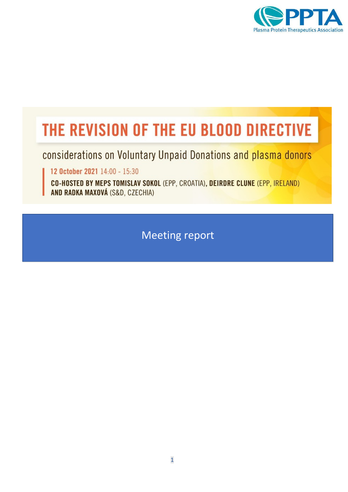

# THE REVISION OF THE EU BLOOD DIRECTIVE

considerations on Voluntary Unpaid Donations and plasma donors

12 October 2021 14:00 - 15:30

CO-HOSTED BY MEPS TOMISLAV SOKOL (EPP, CROATIA), DEIRDRE CLUNE (EPP, IRELAND) AND RADKA MAXOVÁ (S&D, CZECHIA)

Meeting report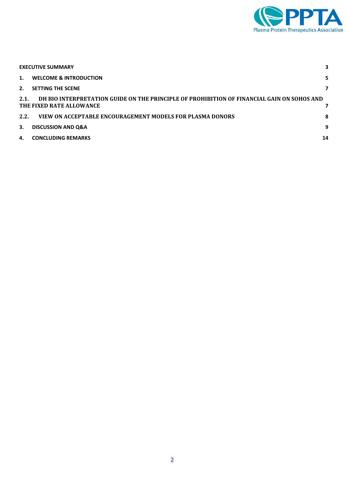

|      | <b>EXECUTIVE SUMMARY</b>                                                                                               |    |
|------|------------------------------------------------------------------------------------------------------------------------|----|
|      | 1. WELCOME & INTRODUCTION                                                                                              | 5. |
|      | 2. SETTING THE SCENE                                                                                                   |    |
| 2.1. | DH BIO INTERPRETATION GUIDE ON THE PRINCIPLE OF PROHIBITION OF FINANCIAL GAIN ON SOHOS AND<br>THE FIXED RATE ALLOWANCE |    |
| 2.2. | VIEW ON ACCEPTABLE ENCOURAGEMENT MODELS FOR PLASMA DONORS                                                              | 8  |
| 3.   | <b>DISCUSSION AND Q&amp;A</b>                                                                                          | 9  |
|      | 4. CONCLUDING REMARKS                                                                                                  | 14 |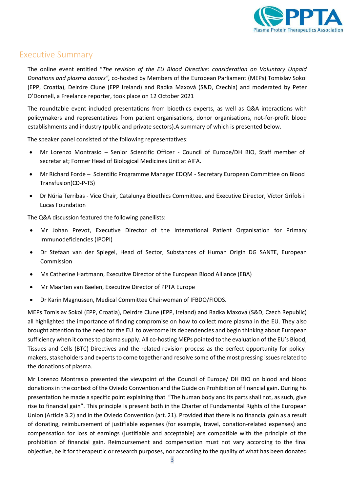

#### <span id="page-2-0"></span>Executive Summary

The online event entitled "*The revision of the EU Blood Directive: consideration on Voluntary Unpaid Donations and plasma donors",* co-hosted by Members of the European Parliament (MEPs) Tomislav Sokol (EPP, Croatia), Deirdre Clune (EPP Ireland) and Radka Maxová (S&D, Czechia) and moderated by Peter O'Donnell, a Freelance reporter, took place on 12 October 2021

The roundtable event included presentations from bioethics experts, as well as Q&A interactions with policymakers and representatives from patient organisations, donor organisations, not-for-profit blood establishments and industry (public and private sectors).A summary of which is presented below.

The speaker panel consisted of the following representatives:

- Mr Lorenzo Montrasio Senior Scientific Officer Council of Europe/DH BIO, Staff member of secretariat; Former Head of Biological Medicines Unit at AIFA.
- Mr Richard Forde Scientific Programme Manager EDQM Secretary European Committee on Blood Transfusion(CD-P-TS)
- Dr Núria Terribas Vice Chair, Catalunya Bioethics Committee, and Executive Director, Víctor Grífols i Lucas Foundation

The Q&A discussion featured the following panellists:

- Mr Johan Prevot, Executive Director of the International Patient Organisation for Primary Immunodeficiencies (IPOPI)
- Dr Stefaan van der Spiegel, Head of Sector, Substances of Human Origin DG SANTE, European Commission
- Ms Catherine Hartmann, Executive Director of the European Blood Alliance (EBA)
- Mr Maarten van Baelen, Executive Director of PPTA Europe
- Dr Karin Magnussen, Medical Committee Chairwoman of IFBDO/FIODS.

MEPs Tomislav Sokol (EPP, Croatia), Deirdre Clune (EPP, Ireland) and Radka Maxová (S&D, Czech Republic) all highlighted the importance of finding compromise on how to collect more plasma in the EU. They also brought attention to the need for the EU to overcome its dependencies and begin thinking about European sufficiency when it comes to plasma supply. All co-hosting MEPs pointed to the evaluation of the EU's Blood, Tissues and Cells (BTC) Directives and the related revision process as the perfect opportunity for policymakers, stakeholders and experts to come together and resolve some of the most pressing issues related to the donations of plasma.

Mr Lorenzo Montrasio presented the viewpoint of the Council of Europe/ DH BIO on blood and blood donations in the context of the Oviedo Convention and the Guide on Prohibition of financial gain. During his presentation he made a specific point explaining that "The human body and its parts shall not, as such, give rise to financial gain". This principle is present both in the Charter of Fundamental Rights of the European Union (Article 3.2) and in the Oviedo Convention (art. 21). Provided that there is no financial gain as a result of donating, reimbursement of justifiable expenses (for example, travel, donation-related expenses) and compensation for loss of earnings (justifiable and acceptable) are compatible with the principle of the prohibition of financial gain. Reimbursement and compensation must not vary according to the final objective, be it for therapeutic or research purposes, nor according to the quality of what has been donated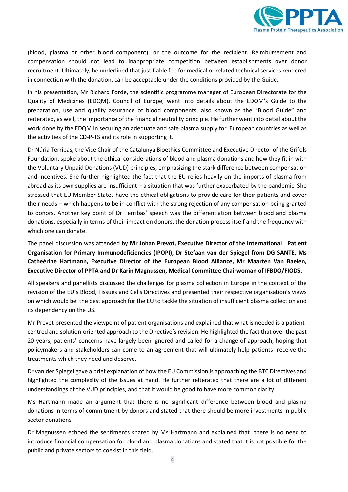

(blood, plasma or other blood component), or the outcome for the recipient. Reimbursement and compensation should not lead to inappropriate competition between establishments over donor recruitment. Ultimately, he underlined that justifiable fee for medical or related technical services rendered in connection with the donation, can be acceptable under the conditions provided by the Guide.

In his presentation, Mr Richard Forde, the scientific programme manager of European Directorate for the Quality of Medicines (EDQM), Council of Europe, went into details about the EDQM's Guide to the preparation, use and quality assurance of blood components, also known as the "Blood Guide" and reiterated, as well, the importance of the financial neutrality principle. He further went into detail about the work done by the EDQM in securing an adequate and safe plasma supply for European countries as well as the activities of the CD-P-TS and its role in supporting it.

Dr Núria Terribas, the Vice Chair of the Catalunya Bioethics Committee and Executive Director of the Grifols Foundation, spoke about the ethical considerations of blood and plasma donations and how they fit in with the Voluntary Unpaid Donations (VUD) principles, emphasizing the stark difference between compensation and incentives. She further highlighted the fact that the EU relies heavily on the imports of plasma from abroad as its own supplies are insufficient – a situation that was further exacerbated by the pandemic. She stressed that EU Member States have the ethical obligations to provide care for their patients and cover their needs – which happens to be in conflict with the strong rejection of any compensation being granted to donors. Another key point of Dr Terribas' speech was the differentiation between blood and plasma donations, especially in terms of their impact on donors, the donation process itself and the frequency with which one can donate.

The panel discussion was attended by **Mr Johan Prevot, Executive Director of the International Patient Organisation for Primary Immunodeficiencies (IPOPI), Dr Stefaan van der Spiegel from DG SANTE, Ms Catheérine Hartmann, Executive Director of the European Blood Alliance, Mr Maarten Van Baelen, Executive Director of PPTA and Dr Karin Magnussen, Medical Committee Chairwoman of IFBDO/FIODS.**

All speakers and panellists discussed the challenges for plasma collection in Europe in the context of the revision of the EU's Blood, Tissues and Cells Directives and presented their respective organisation's views on which would be the best approach for the EU to tackle the situation of insufficient plasma collection and its dependency on the US.

Mr Prevot presented the viewpoint of patient organisations and explained that what is needed is a patientcentred and solution-oriented approach to the Directive's revision. He highlighted the fact that over the past 20 years, patients' concerns have largely been ignored and called for a change of approach, hoping that policymakers and stakeholders can come to an agreement that will ultimately help patients receive the treatments which they need and deserve.

Dr van der Spiegel gave a brief explanation of how the EU Commission is approaching the BTC Directives and highlighted the complexity of the issues at hand. He further reiterated that there are a lot of different understandings of the VUD principles, and that it would be good to have more common clarity.

Ms Hartmann made an argument that there is no significant difference between blood and plasma donations in terms of commitment by donors and stated that there should be more investments in public sector donations.

Dr Magnussen echoed the sentiments shared by Ms Hartmann and explained that there is no need to introduce financial compensation for blood and plasma donations and stated that it is not possible for the public and private sectors to coexist in this field.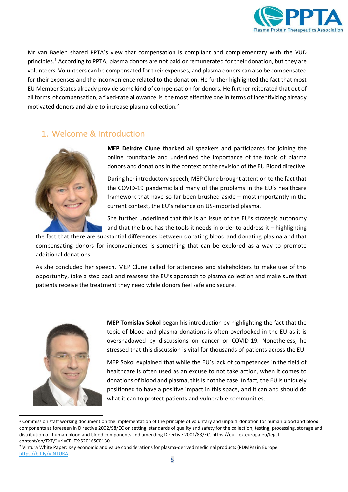

Mr van Baelen shared PPTA's view that compensation is compliant and complementary with the VUD principles. [1](#page-4-1) According to PPTA, plasma donors are not paid or remunerated for their donation, but they are volunteers. Volunteers can be compensated for their expenses, and plasma donors can also be compensated for their expenses and the inconvenience related to the donation. He further highlighted the fact that most EU Member States already provide some kind of compensation for donors. He further reiterated that out of all forms of compensation, a fixed-rate allowance is the most effective one in terms of incentivizing already motivated donors and able to increase plasma collection. [2](#page-4-2)

## <span id="page-4-0"></span>1. Welcome & Introduction



**MEP Deirdre Clune** thanked all speakers and participants for joining the online roundtable and underlined the importance of the topic of plasma donors and donations in the context of the revision of the EU Blood directive.

During her introductory speech, MEP Clune brought attention to the fact that the COVID-19 pandemic laid many of the problems in the EU's healthcare framework that have so far been brushed aside – most importantly in the current context, the EU's reliance on US-imported plasma.

She further underlined that this is an issue of the EU's strategic autonomy and that the bloc has the tools it needs in order to address it – highlighting

the fact that there are substantial differences between donating blood and donating plasma and that compensating donors for inconveniences is something that can be explored as a way to promote additional donations.

As she concluded her speech, MEP Clune called for attendees and stakeholders to make use of this opportunity, take a step back and reassess the EU's approach to plasma collection and make sure that patients receive the treatment they need while donors feel safe and secure.



**MEP Tomislav Sokol** began his introduction by highlighting the fact that the topic of blood and plasma donations is often overlooked in the EU as it is overshadowed by discussions on cancer or COVID-19. Nonetheless, he stressed that this discussion is vital for thousands of patients across the EU.

MEP Sokol explained that while the EU's lack of competences in the field of healthcare is often used as an excuse to not take action, when it comes to donations of blood and plasma, this is not the case. In fact, the EU is uniquely positioned to have a positive impact in this space, and it can and should do what it can to protect patients and vulnerable communities.

<span id="page-4-1"></span> $1$  Commission staff working document on the implementation of the principle of voluntary and unpaid donation for human blood and blood components as foreseen in Directive 2002/98/EC on setting standards of quality and safety for the collection, testing, processing, storage and distribution of human blood and blood components and amending Directive 2001/83/EC. https://eur-lex.europa.eu/legalcontent/en/TXT/?uri=CELEX:52016SC0130

<span id="page-4-2"></span><sup>2</sup> Vintura White Paper: Key economic and value considerations for plasma-derived medicinal products (PDMPs) in Europe. <https://bit.ly/VINTURA>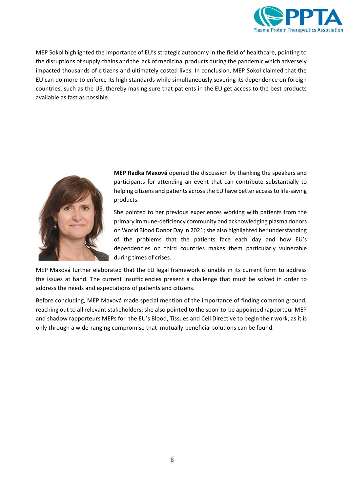

MEP Sokol highlighted the importance of EU's strategic autonomy in the field of healthcare, pointing to the disruptions of supply chains and the lack of medicinal products during the pandemic which adversely impacted thousands of citizens and ultimately costed lives. In conclusion, MEP Sokol claimed that the EU can do more to enforce its high standards while simultaneously severing its dependence on foreign countries, such as the US, thereby making sure that patients in the EU get access to the best products available as fast as possible.



**MEP Radka Maxová** opened the discussion by thanking the speakers and participants for attending an event that can contribute substantially to helping citizens and patients across the EU have better access to life-saving products.

She pointed to her previous experiences working with patients from the primary immune-deficiency community and acknowledging plasma donors on World Blood Donor Day in 2021; she also highlighted her understanding of the problems that the patients face each day and how EU's dependencies on third countries makes them particularly vulnerable during times of crises.

MEP Maxová further elaborated that the EU legal framework is unable in its current form to address the issues at hand. The current insufficiencies present a challenge that must be solved in order to address the needs and expectations of patients and citizens.

Before concluding, MEP Maxová made special mention of the importance of finding common ground, reaching out to all relevant stakeholders; she also pointed to the soon-to-be appointed rapporteur MEP and shadow rapporteurs MEPs for the EU's Blood, Tissues and Cell Directive to begin their work, as it is only through a wide-ranging compromise that mutually-beneficial solutions can be found.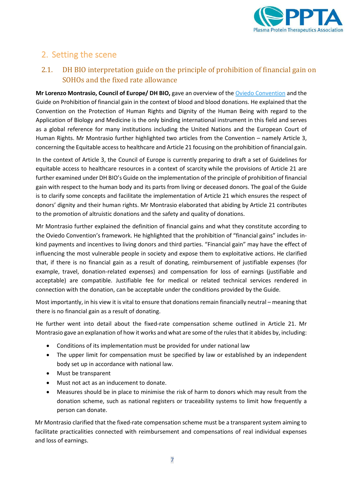

# <span id="page-6-0"></span>2. Setting the scene

#### <span id="page-6-1"></span>2.1. DH BIO interpretation guide on the principle of prohibition of financial gain on SOHOs and the fixed rate allowance

**Mr Lorenzo Montrasio, Council of Europe/ DH BIO,** gave an overview of the [Oviedo Convention](https://rm.coe.int/168007cf98) and the Guide on Prohibition of financial gain in the context of blood and blood donations. He explained that the Convention on the Protection of Human Rights and Dignity of the Human Being with regard to the Application of Biology and Medicine is the only binding international instrument in this field and serves as a global reference for many institutions including the United Nations and the European Court of Human Rights. Mr Montrasio further highlighted two articles from the Convention – namely Article 3, concerning the Equitable access to healthcare and Article 21 focusing on the prohibition of financial gain.

In the context of Article 3, the Council of Europe is currently preparing to draft a set of Guidelines for equitable access to healthcare resources in a context of scarcity while the provisions of Article 21 are further examined under DH BIO's Guide on the implementation of the principle of prohibition of financial gain with respect to the human body and its parts from living or deceased donors. The goal of the Guide is to clarify some concepts and facilitate the implementation of Article 21 which ensures the respect of donors' dignity and their human rights. Mr Montrasio elaborated that abiding by Article 21 contributes to the promotion of altruistic donations and the safety and quality of donations.

Mr Montrasio further explained the definition of financial gains and what they constitute according to the Oviedo Convention's framework. He highlighted that the prohibition of "financial gains" includes inkind payments and incentives to living donors and third parties. "Financial gain" may have the effect of influencing the most vulnerable people in society and expose them to exploitative actions. He clarified that, if there is no financial gain as a result of donating, reimbursement of justifiable expenses (for example, travel, donation-related expenses) and compensation for loss of earnings (justifiable and acceptable) are compatible. Justifiable fee for medical or related technical services rendered in connection with the donation, can be acceptable under the conditions provided by the Guide.

Most importantly, in his view it is vital to ensure that donations remain financially neutral – meaning that there is no financial gain as a result of donating.

He further went into detail about the fixed-rate compensation scheme outlined in Article 21. Mr Montrasio gave an explanation of how it works and what are some of the rules that it abides by, including:

- Conditions of its implementation must be provided for under national law
- The upper limit for compensation must be specified by law or established by an independent body set up in accordance with national law.
- Must be transparent
- Must not act as an inducement to donate.
- Measures should be in place to minimise the risk of harm to donors which may result from the donation scheme, such as national registers or traceability systems to limit how frequently a person can donate.

Mr Montrasio clarified that the fixed-rate compensation scheme must be a transparent system aiming to facilitate practicalities connected with reimbursement and compensations of real individual expenses and loss of earnings.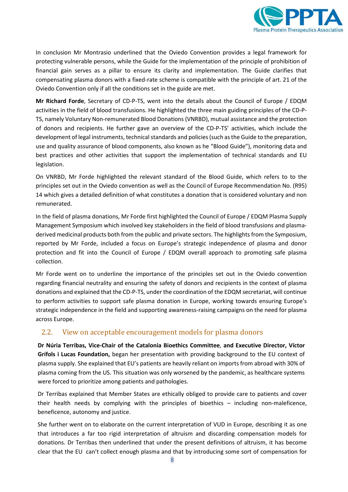

In conclusion Mr Montrasio underlined that the Oviedo Convention provides a legal framework for protecting vulnerable persons, while the Guide for the implementation of the principle of prohibition of financial gain serves as a pillar to ensure its clarity and implementation. The Guide clarifies that compensating plasma donors with a fixed-rate scheme is compatible with the principle of art. 21 of the Oviedo Convention only if all the conditions set in the guide are met.

**Mr Richard Forde**, Secretary of CD-P-TS, went into the details about the Council of Europe / EDQM activities in the field of blood transfusions. He highlighted the three main guiding principles of the CD-P-TS, namely Voluntary Non-remunerated Blood Donations (VNRBD), mutual assistance and the protection of donors and recipients. He further gave an overview of the CD-P-TS' activities, which include the development of legal instruments, technical standards and policies (such as the Guide to the preparation, use and quality assurance of blood components, also known as he "Blood Guide"), monitoring data and best practices and other activities that support the implementation of technical standards and EU legislation.

On VNRBD, Mr Forde highlighted the relevant standard of the Blood Guide, which refers to to the principles set out in the Oviedo convention as well as the Council of Europe Recommendation No. (R95) 14 which gives a detailed definition of what constitutes a donation that is considered voluntary and non remunerated.

In the field of plasma donations, Mr Forde first highlighted the Council of Europe / EDQM Plasma Supply Management Symposium which involved key stakeholders in the field of blood transfusions and plasmaderived medicinal products both from the public and private sectors. The highlights from the Symposium, reported by Mr Forde, included a focus on Europe's strategic independence of plasma and donor protection and fit into the Council of Europe / EDQM overall approach to promoting safe plasma collection.

Mr Forde went on to underline the importance of the principles set out in the Oviedo convention regarding financial neutrality and ensuring the safety of donors and recipients in the context of plasma donations and explained that the CD-P-TS, under the coordination of the EDQM secretariat, will continue to perform activities to support safe plasma donation in Europe, working towards ensuring Europe's strategic independence in the field and supporting awareness-raising campaigns on the need for plasma across Europe.

#### <span id="page-7-0"></span>2.2. View on acceptable encouragement models for plasma donors

**Dr Núria Terribas, Vice-Chair of the Catalonia Bioethics Committee**, **and Executive Director, Víctor Grífols i Lucas Foundation,** began her presentation with providing background to the EU context of plasma supply. She explained that EU's patients are heavily reliant on imports from abroad with 30% of plasma coming from the US. This situation was only worsened by the pandemic, as healthcare systems were forced to prioritize among patients and pathologies.

Dr Terribas explained that Member States are ethically obliged to provide care to patients and cover their health needs by complying with the principles of bioethics – including non-maleficence, beneficence, autonomy and justice.

She further went on to elaborate on the current interpretation of VUD in Europe, describing it as one that introduces a far too rigid interpretation of altruism and discarding compensation models for donations. Dr Terribas then underlined that under the present definitions of altruism, it has become clear that the EU can't collect enough plasma and that by introducing some sort of compensation for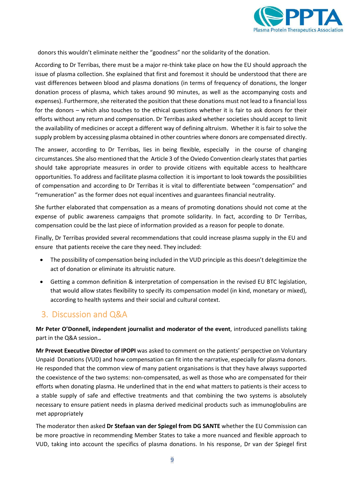

donors this wouldn't eliminate neither the "goodness" nor the solidarity of the donation.

According to Dr Terribas, there must be a major re-think take place on how the EU should approach the issue of plasma collection. She explained that first and foremost it should be understood that there are vast differences between blood and plasma donations (in terms of frequency of donations, the longer donation process of plasma, which takes around 90 minutes, as well as the accompanying costs and expenses). Furthermore, she reiterated the position that these donations must not lead to a financial loss for the donors – which also touches to the ethical questions whether it is fair to ask donors for their efforts without any return and compensation. Dr Terribas asked whether societies should accept to limit the availability of medicines or accept a different way of defining altruism. Whether it is fair to solve the supply problem by accessing plasma obtained in other countries where donors are compensated directly.

The answer, according to Dr Terribas, lies in being flexible, especially in the course of changing circumstances. She also mentioned that the Article 3 of the Oviedo Convention clearly states that parties should take appropriate measures in order to provide citizens with equitable access to healthcare opportunities. To address and facilitate plasma collection it is important to look towards the possibilities of compensation and according to Dr Terribas it is vital to differentiate between "compensation" and "remuneration" as the former does not equal incentives and guarantees financial neutrality.

She further elaborated that compensation as a means of promoting donations should not come at the expense of public awareness campaigns that promote solidarity. In fact, according to Dr Terribas, compensation could be the last piece of information provided as a reason for people to donate.

Finally, Dr Terribas provided several recommendations that could increase plasma supply in the EU and ensure that patients receive the care they need. They included:

- The possibility of compensation being included in the VUD principle as this doesn't delegitimize the act of donation or eliminate its altruistic nature.
- Getting a common definition & interpretation of compensation in the revised EU BTC legislation, that would allow states flexibility to specify its compensation model (in kind, monetary or mixed), according to health systems and their social and cultural context.

#### <span id="page-8-0"></span>3. Discussion and Q&A

**Mr Peter O'Donnell, independent journalist and moderator of the event**, introduced panellists taking part in the Q&A session.**.**

**Mr Prevot Executive Director of IPOPI** was asked to comment on the patients' perspective on Voluntary Unpaid Donations (VUD) and how compensation can fit into the narrative, especially for plasma donors. He responded that the common view of many patient organisations is that they have always supported the coexistence of the two systems: non-compensated, as well as those who are compensated for their efforts when donating plasma. He underlined that in the end what matters to patients is their access to a stable supply of safe and effective treatments and that combining the two systems is absolutely necessary to ensure patient needs in plasma derived medicinal products such as immunoglobulins are met appropriately

The moderator then asked **Dr Stefaan van der Spiegel from DG SANTE** whether the EU Commission can be more proactive in recommending Member States to take a more nuanced and flexible approach to VUD, taking into account the specifics of plasma donations. In his response, Dr van der Spiegel first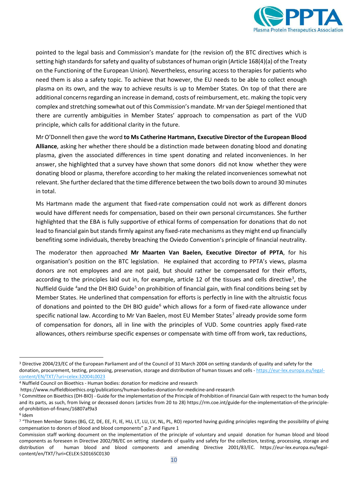

pointed to the legal basis and Commission's mandate for (the revision of) the BTC directives which is setting high standards for safety and quality of substances of human origin (Article 168(4)(a) of the Treaty on the Functioning of the European Union). Nevertheless, ensuring access to therapies for patients who need them is also a safety topic. To achieve that however, the EU needs to be able to collect enough plasma on its own, and the way to achieve results is up to Member States. On top of that there are additional concerns regarding an increase in demand, costs of reimbursement, etc. making the topic very complex and stretching somewhat out of this Commission's mandate. Mr van der Spiegel mentioned that there are currently ambiguities in Member States' approach to compensation as part of the VUD principle, which calls for additional clarity in the future.

Mr O'Donnell then gave the word **to Ms Catherine Hartmann, Executive Director of the European Blood Alliance**, asking her whether there should be a distinction made between donating blood and donating plasma, given the associated differences in time spent donating and related inconveniences. In her answer, she highlighted that a survey have shown that some donors did not know whether they were donating blood or plasma, therefore according to her making the related inconveniences somewhat not relevant. She further declared that the time difference between the two boils down to around 30 minutes in total.

Ms Hartmann made the argument that fixed-rate compensation could not work as different donors would have different needs for compensation, based on their own personal circumstances. She further highlighted that the EBA is fully supportive of ethical forms of compensation for donations that do not lead to financial gain but stands firmly against any fixed-rate mechanisms as they might end up financially benefiting some individuals, thereby breaching the Oviedo Convention's principle of financial neutrality.

The moderator then approached **Mr Maarten Van Baelen, Executive Director of PPTA**, for his organisation's position on the BTC legislation. He explained that according to PPTA's views, plasma donors are not employees and are not paid, but should rather be compensated for their efforts, according to the principles laid out in, for example, article 12 of the tissues and cells directive<sup>[3](#page-9-0)</sup>, the Nuffield Guide <sup>[4](#page-9-1)</sup>and the DH BIO Guide<sup>[5](#page-9-2)</sup> on prohibition of financial gain, with final conditions being set by Member States. He underlined that compensation for efforts is perfectly in line with the altruistic focus of donations and pointed to the DH BIO guide<sup>[6](#page-9-3)</sup> which allows for a form of fixed-rate allowance under specific national law. According to Mr Van Baelen, most EU Member States<sup>[7](#page-9-4)</sup> already provide some form of compensation for donors, all in line with the principles of VUD. Some countries apply fixed-rate allowances, others reimburse specific expenses or compensate with time off from work, tax reductions,

<span id="page-9-0"></span><sup>&</sup>lt;sup>3</sup> Directive 2004/23/EC of the European Parliament and of the Council of 31 March 2004 on setting standards of quality and safety for the donation, procurement, testing, processing, preservation, storage and distribution of human tissues and cells - [https://eur-lex.europa.eu/legal](https://eur-lex.europa.eu/legal-content/EN/TXT/?uri=celex:32004L0023)[content/EN/TXT/?uri=celex:32004L0023](https://eur-lex.europa.eu/legal-content/EN/TXT/?uri=celex:32004L0023)

<span id="page-9-1"></span><sup>4</sup> Nuffield Council on Bioethics - Human bodies: donation for medicine and research

https://www.nuffieldbioethics.org/publications/human-bodies-donation-for-medicine-and-research

<span id="page-9-2"></span><sup>5</sup> Committee on Bioethics (DH-BIO) - Guide for the implementation of the Principle of Prohibition of Financial Gain with respect to the human body and its parts, as such, from living or deceased donors (articles from 20 to 28) https://rm.coe.int/guide-for-the-implementation-of-the-principleof-prohibition-of-financ/16807af9a3

<span id="page-9-3"></span><sup>6</sup> Idem

<span id="page-9-4"></span><sup>&</sup>lt;sup>7</sup> "Thirteen Member States (BG, CZ, DE, EE, FI, IE, HU, LT, LU, LV, NL, PL, RO) reported having guiding principles regarding the possibility of giving compensation to donors of blood and blood components" p.7 and Figure 1

Commission staff working document on the implementation of the principle of voluntary and unpaid donation for human blood and blood components as foreseen in Directive 2002/98/EC on setting standards of quality and safety for the collection, testing, processing, storage and distribution of human blood and blood components and amending Directive 2001/83/EC. https://eur-lex.europa.eu/legalcontent/en/TXT/?uri=CELEX:52016SC0130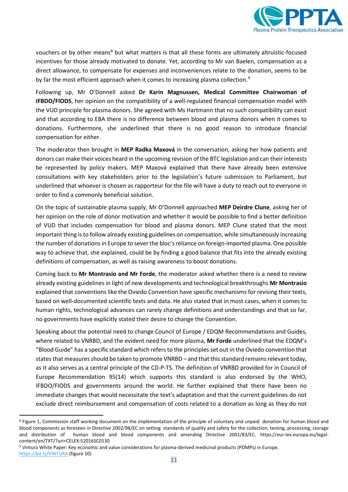

vouchers or by other means<sup>[8](#page-10-0)</sup> but what matters is that all these forms are ultimately altruistic-focused incentives for those already motivated to donate. Yet, according to Mr van Baelen, compensation as a direct allowance, to compensate for expenses and inconveniences relate to the donation, seems to be by far the most efficient approach when it comes to increasing plasma collection.<sup>[9](#page-10-1)</sup>

Following up, Mr O'Donnell asked **Dr Karin Magnussen, Medical Committee Chairwoman of IFBDO/FIODS**, her opinion on the compatibility of a well-regulated financial compensation model with the VUD principle for plasma donors. She agreed with Ms Hartmann that no such compatibility can exist and that according to EBA there is no difference between blood and plasma donors when it comes to donations. Furthermore, she underlined that there is no good reason to introduce financial compensation for either.

The moderator then brought in **MEP Radka Maxová** in the conversation, asking her how patients and donors can make their voices heard in the upcoming revision of the BTC legislation and can their interests be represented by policy makers. MEP Maxová explained that there have already been extensive consultations with key stakeholders prior to the legislation's future submission to Parliament, but underlined that whoever is chosen as rapporteur for the file will have a duty to reach out to everyone in order to find a commonly beneficial solution.

On the topic of sustainable plasma supply, Mr O'Donnell approached **MEP Deirdre Clune**, asking her of her opinion on the role of donor motivation and whether it would be possible to find a better definition of VUD that includes compensation for blood and plasma donors. MEP Clune stated that the most important thing is to follow already existing guidelines on compensation, while simultaneously increasing the number of donations in Europe to sever the bloc's reliance on foreign-imported plasma. One possible way to achieve that, she explained, could be by finding a good balance that fits into the already existing definitions of compensation, as well as raising awareness to boost donations.

Coming back to **Mr Montrasio and Mr Forde**, the moderator asked whether there is a need to review already existing guidelines in light of new developments and technological breakthroughs **Mr Montrasio** explained that conventions like the Oviedo Convention have specific mechanisms for revising their texts, based on well-documented scientific texts and data. He also stated that in most cases, when it comes to human rights, technological advances can rarely change definitions and understandings and that so far, no governments have explicitly stated their desire to change the Convention.

Speaking about the potential need to change Council of Europe / EDQM Recommendations and Guides, where related to VNRBD, and the evident need for more plasma, **Mr Forde** underlined that the EDQM's "Blood Guide" has a specific standard which refers to the principles set out in the Oviedo convention that states that measures should be taken to promote VNRBD – and that this standard remains relevant today, as it also serves as a central principle of the CD-P-TS. The definition of VNRBD provided for in Council of Europe Recommendation 95(14) which supports this standard is also endorsed by the WHO, IFBDO/FIODS and governments around the world. He further explained that there have been no immediate changes that would necessitate the text's adaptation and that the current guidelines do not exclude direct reimbursement and compensation of costs related to a donation as long as they do not

<span id="page-10-0"></span><sup>&</sup>lt;sup>8</sup> Figure 1, Commission staff working document on the implementation of the principle of voluntary and unpaid donation for human blood and blood components as foreseen in Directive 2002/98/EC on setting standards of quality and safety for the collection, testing, processing, storage and distribution of human blood and blood components and amending Directive 2001/83/EC. https://eur-lex.europa.eu/legalcontent/en/TXT/?uri=CELEX:52016SC0130

<span id="page-10-1"></span><sup>9</sup> Vintura White Paper: Key economic and value considerations for plasma-derived medicinal products (PDMPs) in Europe. <https://bit.ly/VINTURA> (figure 10)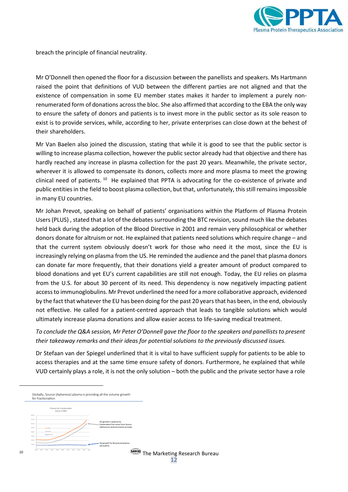

breach the principle of financial neutrality.

Mr O'Donnell then opened the floor for a discussion between the panellists and speakers. Ms Hartmann raised the point that definitions of VUD between the different parties are not aligned and that the existence of compensation in some EU member states makes it harder to implement a purely nonrenumerated form of donations across the bloc. She also affirmed that according to the EBA the only way to ensure the safety of donors and patients is to invest more in the public sector as its sole reason to exist is to provide services, while, according to her, private enterprises can close down at the behest of their shareholders.

Mr Van Baelen also joined the discussion, stating that while it is good to see that the public sector is willing to increase plasma collection, however the public sector already had that objective and there has hardly reached any increase in plasma collection for the past 20 years. Meanwhile, the private sector, wherever it is allowed to compensate its donors, collects more and more plasma to meet the growing clinical need of patients. <sup>[10](#page-11-0)</sup> He explained that PPTA is advocating for the co-existence of private and public entities in the field to boost plasma collection, but that, unfortunately, this still remains impossible in many EU countries.

Mr Johan Prevot, speaking on behalf of patients' organisations within the Platform of Plasma Protein Users (PLUS) , stated that a lot of the debates surrounding the BTC revision, sound much like the debates held back during the adoption of the Blood Directive in 2001 and remain very philosophical or whether donors donate for altruism or not. He explained that patients need solutions which require change – and that the current system obviously doesn't work for those who need it the most, since the EU is increasingly relying on plasma from the US. He reminded the audience and the panel that plasma donors can donate far more frequently, that their donations yield a greater amount of product compared to blood donations and yet EU's current capabilities are still not enough. Today, the EU relies on plasma from the U.S. for about 30 percent of its need. This dependency is now negatively impacting patient access to immunoglobulins. Mr Prevot underlined the need for a more collaborative approach, evidenced by the fact that whatever the EU has been doing for the past 20 years that has been, in the end, obviously not effective. He called for a patient-centred approach that leads to tangible solutions which would ultimately increase plasma donations and allow easier access to life-saving medical treatment.

*To conclude the Q&A session, Mr Peter O'Donnell gave the floor to the speakers and panelliststo present their takeaway remarks and their ideas for potential solutions to the previously discussed issues.*

Dr Stefaan van der Spiegel underlined that it is vital to have sufficient supply for patients to be able to access therapies and at the same time ensure safety of donors. Furthermore, he explained that while VUD certainly plays a role, it is not the only solution – both the public and the private sector have a role

<span id="page-11-0"></span>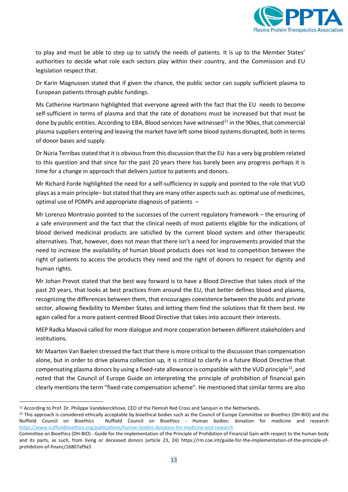

to play and must be able to step up to satisfy the needs of patients. It is up to the Member States' authorities to decide what role each sectors play within their country, and the Commission and EU legislation respect that.

Dr Karin Magnussen stated that if given the chance, the public sector can supply sufficient plasma to European patients through public fundings.

Ms Catherine Hartmann highlighted that everyone agreed with the fact that the EU needs to become self-sufficient in terms of plasma and that the rate of donations must be increased but that must be done by public entities. According to EBA, Blood services have witnessed $^{11}$  $^{11}$  $^{11}$  in the 90ies, that commercial plasma suppliers entering and leaving the market have left some blood systems disrupted, both in terms of donor bases and supply.

Dr Núria Terribas stated that it is obvious from this discussion that the EU has a very big problem related to this question and that since for the past 20 years there has barely been any progress perhaps it is time for a change in approach that delivers justice to patients and donors.

Mr Richard Forde highlighted the need for a self-sufficiency in supply and pointed to the role that VUD plays as a main principle– but stated that they are many other aspects such as: optimal use of medicines, optimal use of PDMPs and appropriate diagnosis of patients –

Mr Lorenzo Montrasio pointed to the successes of the current regulatory framework – the ensuring of a safe environment and the fact that the clinical needs of most patients eligible for the indications of blood derived medicinal products are satisfied by the current blood system and other therapeutic alternatives. That, however, does not mean that there isn't a need for improvements provided that the need to increase the availability of human blood products does not lead to competition between the right of patients to access the products they need and the right of donors to respect for dignity and human rights.

Mr Johan Prevot stated that the best way forward is to have a Blood Directive that takes stock of the past 20 years, that looks at best practices from around the EU, that better defines blood and plasma, recognizing the differences between them, that encourages coexistence between the public and private sector, allowing flexibility to Member States and letting them find the solutions that fit them best. He again called for a more patient-centred Blood Directive that takes into account their interests.

MEP Radka Maxová called for more dialogue and more cooperation between different stakeholders and institutions.

Mr Maarten Van Baelen stressed the fact that there is more critical to the discussion than compensation alone, but in order to drive plasma collection up, it is critical to clarify in a future Blood Directive that compensating plasma donors by using a fixed-rate allowance is compatible with the VUD principle<sup>12</sup>, and noted that the Council of Europe Guide on interpreting the principle of prohibition of financial gain clearly mentions the term "fixed-rate compensation scheme". He mentioned that similar terms are also

<span id="page-12-0"></span><sup>&</sup>lt;sup>11</sup> According to Prof. Dr. Philippe Vandekerckhove, CEO of the Flemish Red Cross and Sanquin in the Netherlands.

<span id="page-12-1"></span><sup>12</sup> This approach is considered ethically acceptable by bioethical bodies such as the Council of Europe Committee on Bioethics (DH-BIO) and the Nuffield Council on Bioethics Nuffield Council on Bioethics - Human bodies: donation for medicine and research <https://www.nuffieldbioethics.org/publications/human-bodies-donation-for-medicine-and-research>

Committee on Bioethics (DH-BIO) - Guide for the implementation of the Principle of Prohibition of Financial Gain with respect to the human body and its parts, as such, from living or deceased donors (article 23, 24) https://rm.coe.int/guide-for-the-implementation-of-the-principle-ofprohibition-of-financ/16807af9a3